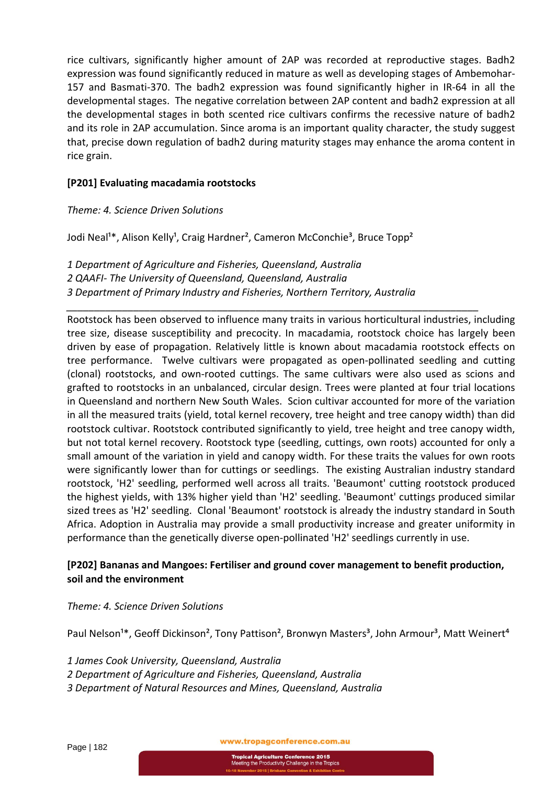rice cultivars, significantly higher amount of 2AP was recorded at reproductive stages. Badh2 expression was found significantly reduced in mature as well as developing stages of Ambemohar‐ 157 and Basmati‐370. The badh2 expression was found significantly higher in IR‐64 in all the developmental stages. The negative correlation between 2AP content and badh2 expression at all the developmental stages in both scented rice cultivars confirms the recessive nature of badh2 and its role in 2AP accumulation. Since aroma is an important quality character, the study suggest that, precise down regulation of badh2 during maturity stages may enhance the aroma content in rice grain.

## **[P201] Evaluating macadamia rootstocks**

## *Theme: 4. Science Driven Solutions*

Jodi Neal<sup>1\*</sup>, Alison Kelly<sup>1</sup>, Craig Hardner<sup>2</sup>, Cameron McConchie<sup>3</sup>, Bruce Topp<sup>2</sup>

*1 Department of Agriculture and Fisheries, Queensland, Australia 2 QAAFI‐ The University of Queensland, Queensland, Australia 3 Department of Primary Industry and Fisheries, Northern Territory, Australia*

*\_\_\_\_\_\_\_\_\_\_\_\_\_\_\_\_\_\_\_\_\_\_\_\_\_\_\_\_\_\_\_\_\_\_\_\_\_\_\_\_\_\_\_\_\_\_\_\_\_\_\_\_\_\_\_\_\_\_\_\_\_\_\_\_\_\_\_\_\_\_\_\_\_\_*

Rootstock has been observed to influence many traits in various horticultural industries, including tree size, disease susceptibility and precocity. In macadamia, rootstock choice has largely been driven by ease of propagation. Relatively little is known about macadamia rootstock effects on tree performance. Twelve cultivars were propagated as open-pollinated seedling and cutting (clonal) rootstocks, and own‐rooted cuttings. The same cultivars were also used as scions and grafted to rootstocks in an unbalanced, circular design. Trees were planted at four trial locations in Queensland and northern New South Wales. Scion cultivar accounted for more of the variation in all the measured traits (yield, total kernel recovery, tree height and tree canopy width) than did rootstock cultivar. Rootstock contributed significantly to yield, tree height and tree canopy width, but not total kernel recovery. Rootstock type (seedling, cuttings, own roots) accounted for only a small amount of the variation in yield and canopy width. For these traits the values for own roots were significantly lower than for cuttings or seedlings. The existing Australian industry standard rootstock, 'H2' seedling, performed well across all traits. 'Beaumont' cutting rootstock produced the highest yields, with 13% higher yield than 'H2' seedling. 'Beaumont' cuttings produced similar sized trees as 'H2' seedling. Clonal 'Beaumont' rootstock is already the industry standard in South Africa. Adoption in Australia may provide a small productivity increase and greater uniformity in performance than the genetically diverse open‐pollinated 'H2' seedlings currently in use.

## **[P202] Bananas and Mangoes: Fertiliser and ground cover management to benefit production, soil and the environment**

#### *Theme: 4. Science Driven Solutions*

Paul Nelson<sup>1\*</sup>, Geoff Dickinson<sup>2</sup>, Tony Pattison<sup>2</sup>, Bronwyn Masters<sup>3</sup>, John Armour<sup>3</sup>, Matt Weinert<sup>4</sup>

- *1 James Cook University, Queensland, Australia*
- *2 Department of Agriculture and Fisheries, Queensland, Australia*
- *3 Department of Natural Resources and Mines, Queensland, Australia*